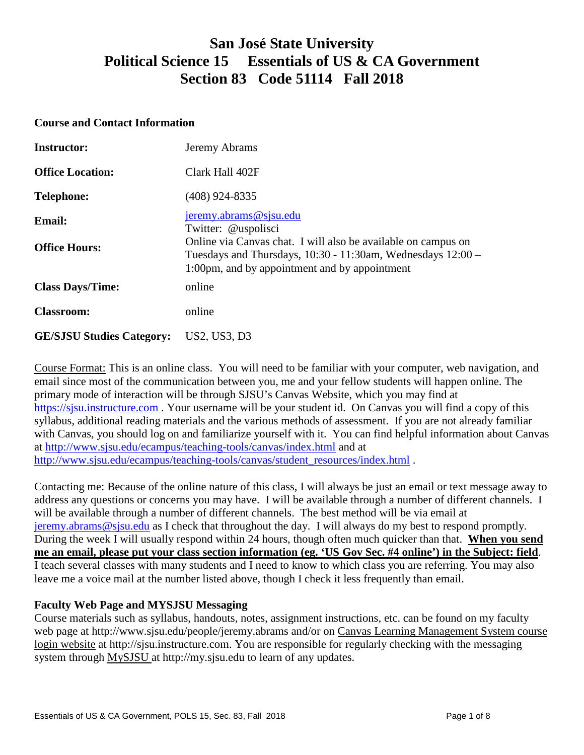# **San José State University Political Science 15 Essentials of US & CA Government Section 83 Code 51114 Fall 2018**

#### **Course and Contact Information**

| <b>Instructor:</b>               | Jeremy Abrams                                                                                                                                                                 |  |
|----------------------------------|-------------------------------------------------------------------------------------------------------------------------------------------------------------------------------|--|
| <b>Office Location:</b>          | Clark Hall 402F                                                                                                                                                               |  |
| <b>Telephone:</b>                | $(408)$ 924-8335                                                                                                                                                              |  |
| <b>Email:</b>                    | jeremy.abrams@sjsu.edu<br>Twitter: @uspolisci                                                                                                                                 |  |
| <b>Office Hours:</b>             | Online via Canvas chat. I will also be available on campus on<br>Tuesdays and Thursdays, 10:30 - 11:30am, Wednesdays 12:00 -<br>1:00pm, and by appointment and by appointment |  |
| <b>Class Days/Time:</b>          | online                                                                                                                                                                        |  |
| <b>Classroom:</b>                | online                                                                                                                                                                        |  |
| <b>GE/SJSU Studies Category:</b> | US2, US3, D3                                                                                                                                                                  |  |

Course Format: This is an online class. You will need to be familiar with your computer, web navigation, and email since most of the communication between you, me and your fellow students will happen online. The primary mode of interaction will be through SJSU's Canvas Website, which you may find at [https://sjsu.instructure.com](https://sjsu.instructure.com/) . Your username will be your student id. On Canvas you will find a copy of this syllabus, additional reading materials and the various methods of assessment. If you are not already familiar with Canvas, you should log on and familiarize yourself with it. You can find helpful information about Canvas at<http://www.sjsu.edu/ecampus/teaching-tools/canvas/index.html> and at [http://www.sjsu.edu/ecampus/teaching-tools/canvas/student\\_resources/index.html](http://www.sjsu.edu/ecampus/teaching-tools/canvas/student_resources/index.html) .

Contacting me: Because of the online nature of this class, I will always be just an email or text message away to address any questions or concerns you may have. I will be available through a number of different channels. I will be available through a number of different channels. The best method will be via email at [jeremy.abrams@sjsu.edu](mailto:jeremy.abrams@sjsu.edu) as I check that throughout the day. I will always do my best to respond promptly. During the week I will usually respond within 24 hours, though often much quicker than that. **When you send me an email, please put your class section information (eg. 'US Gov Sec. #4 online') in the Subject: field**. I teach several classes with many students and I need to know to which class you are referring. You may also leave me a voice mail at the number listed above, though I check it less frequently than email.

### **Faculty Web Page and MYSJSU Messaging**

Course materials such as syllabus, handouts, notes, assignment instructions, etc. can be found on my faculty web page at http://www.sjsu.edu/people/jeremy.abrams and/or on Canvas Learning Management System course login website at http://sjsu.instructure.com. You are responsible for regularly checking with the messaging system through [MySJSU a](http://my.sjsu.edu/)t http://my.sjsu.edu to learn of any updates.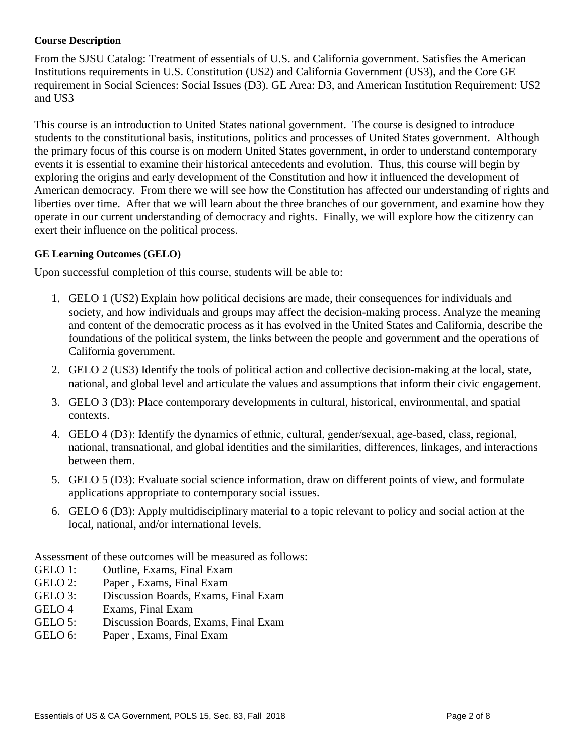#### **Course Description**

From the SJSU Catalog: Treatment of essentials of U.S. and California government. Satisfies the American Institutions requirements in U.S. Constitution (US2) and California Government (US3), and the Core GE requirement in Social Sciences: Social Issues (D3). GE Area: D3, and American Institution Requirement: US2 and US3

This course is an introduction to United States national government. The course is designed to introduce students to the constitutional basis, institutions, politics and processes of United States government. Although the primary focus of this course is on modern United States government, in order to understand contemporary events it is essential to examine their historical antecedents and evolution. Thus, this course will begin by exploring the origins and early development of the Constitution and how it influenced the development of American democracy. From there we will see how the Constitution has affected our understanding of rights and liberties over time. After that we will learn about the three branches of our government, and examine how they operate in our current understanding of democracy and rights. Finally, we will explore how the citizenry can exert their influence on the political process.

#### **GE Learning Outcomes (GELO)**

Upon successful completion of this course, students will be able to:

- 1. GELO 1 (US2) Explain how political decisions are made, their consequences for individuals and society, and how individuals and groups may affect the decision-making process. Analyze the meaning and content of the democratic process as it has evolved in the United States and California, describe the foundations of the political system, the links between the people and government and the operations of California government.
- 2. GELO 2 (US3) Identify the tools of political action and collective decision-making at the local, state, national, and global level and articulate the values and assumptions that inform their civic engagement.
- 3. GELO 3 (D3): Place contemporary developments in cultural, historical, environmental, and spatial contexts.
- 4. GELO 4 (D3): Identify the dynamics of ethnic, cultural, gender/sexual, age-based, class, regional, national, transnational, and global identities and the similarities, differences, linkages, and interactions between them.
- 5. GELO 5 (D3): Evaluate social science information, draw on different points of view, and formulate applications appropriate to contemporary social issues.
- 6. GELO 6 (D3): Apply multidisciplinary material to a topic relevant to policy and social action at the local, national, and/or international levels.

Assessment of these outcomes will be measured as follows:

- GELO 1: Outline, Exams, Final Exam
- GELO 2: Paper , Exams, Final Exam
- GELO 3: Discussion Boards, Exams, Final Exam
- GELO 4 Exams, Final Exam
- GELO 5: Discussion Boards, Exams, Final Exam
- GELO 6: Paper , Exams, Final Exam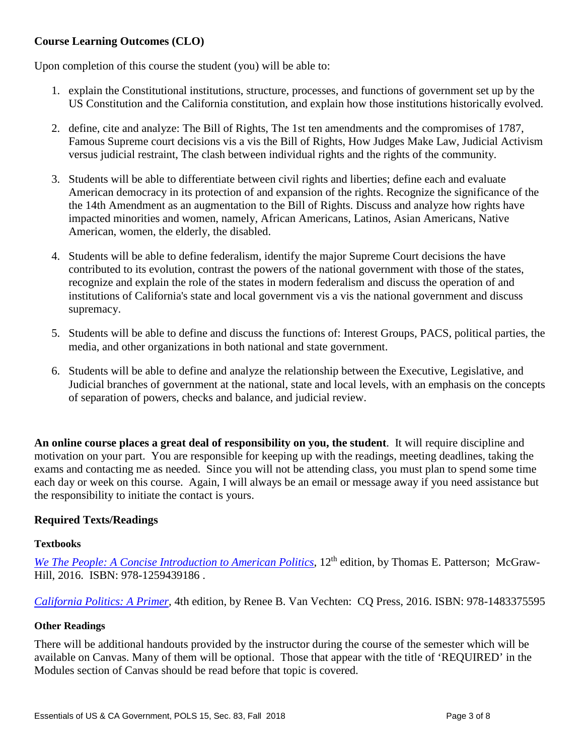# **Course Learning Outcomes (CLO)**

Upon completion of this course the student (you) will be able to:

- 1. explain the Constitutional institutions, structure, processes, and functions of government set up by the US Constitution and the California constitution, and explain how those institutions historically evolved.
- 2. define, cite and analyze: The Bill of Rights, The 1st ten amendments and the compromises of 1787, Famous Supreme court decisions vis a vis the Bill of Rights, How Judges Make Law, Judicial Activism versus judicial restraint, The clash between individual rights and the rights of the community.
- 3. Students will be able to differentiate between civil rights and liberties; define each and evaluate American democracy in its protection of and expansion of the rights. Recognize the significance of the the 14th Amendment as an augmentation to the Bill of Rights. Discuss and analyze how rights have impacted minorities and women, namely, African Americans, Latinos, Asian Americans, Native American, women, the elderly, the disabled.
- 4. Students will be able to define federalism, identify the major Supreme Court decisions the have contributed to its evolution, contrast the powers of the national government with those of the states, recognize and explain the role of the states in modern federalism and discuss the operation of and institutions of California's state and local government vis a vis the national government and discuss supremacy.
- 5. Students will be able to define and discuss the functions of: Interest Groups, PACS, political parties, the media, and other organizations in both national and state government.
- 6. Students will be able to define and analyze the relationship between the Executive, Legislative, and Judicial branches of government at the national, state and local levels, with an emphasis on the concepts of separation of powers, checks and balance, and judicial review.

**An online course places a great deal of responsibility on you, the student**. It will require discipline and motivation on your part. You are responsible for keeping up with the readings, meeting deadlines, taking the exams and contacting me as needed. Since you will not be attending class, you must plan to spend some time each day or week on this course. Again, I will always be an email or message away if you need assistance but the responsibility to initiate the contact is yours.

# **Required Texts/Readings**

#### **Textbooks**

*[We The People: A Concise Introduction to American Politics](https://www.amazon.com/We-People-Introduction-American-Government/dp/1259439186)*, 12<sup>th</sup> edition, by Thomas E. Patterson; McGraw-Hill, 2016. ISBN: 978-1259439186 .

*[California Politics: A Primer,](https://www.amazon.com/California-Politics-Renee-Van-Vechten/dp/1483375595)* 4th edition, by Renee B. Van Vechten: CQ Press, 2016. ISBN: 978-1483375595

#### **Other Readings**

There will be additional handouts provided by the instructor during the course of the semester which will be available on Canvas. Many of them will be optional. Those that appear with the title of 'REQUIRED' in the Modules section of Canvas should be read before that topic is covered.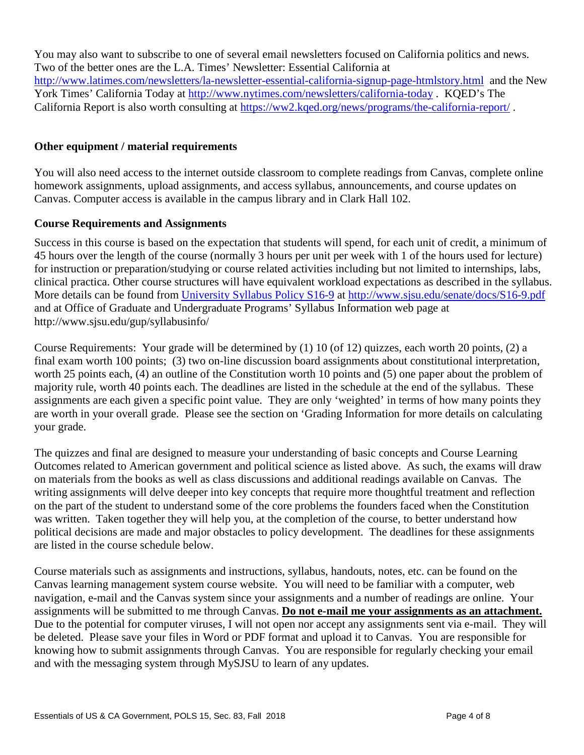You may also want to subscribe to one of several email newsletters focused on California politics and news. Two of the better ones are the L.A. Times' Newsletter: Essential California at <http://www.latimes.com/newsletters/la-newsletter-essential-california-signup-page-htmlstory.html>and the New York Times' California Today at<http://www.nytimes.com/newsletters/california-today> . KQED's The California Report is also worth consulting at<https://ww2.kqed.org/news/programs/the-california-report/> .

## **Other equipment / material requirements**

You will also need access to the internet outside classroom to complete readings from Canvas, complete online homework assignments, upload assignments, and access syllabus, announcements, and course updates on Canvas. Computer access is available in the campus library and in Clark Hall 102.

## **Course Requirements and Assignments**

Success in this course is based on the expectation that students will spend, for each unit of credit, a minimum of 45 hours over the length of the course (normally 3 hours per unit per week with 1 of the hours used for lecture) for instruction or preparation/studying or course related activities including but not limited to internships, labs, clinical practica. Other course structures will have equivalent workload expectations as described in the syllabus. More details can be found from [University Syllabus Policy S16-9](http://www.sjsu.edu/senate/docs/S16-9.pdf) at<http://www.sjsu.edu/senate/docs/S16-9.pdf> and at Office of Graduate and Undergraduate Programs' Syllabus Information web page at http://www.sjsu.edu/gup/syllabusinfo/

Course Requirements: Your grade will be determined by (1) 10 (of 12) quizzes, each worth 20 points, (2) a final exam worth 100 points; (3) two on-line discussion board assignments about constitutional interpretation, worth 25 points each, (4) an outline of the Constitution worth 10 points and (5) one paper about the problem of majority rule, worth 40 points each. The deadlines are listed in the schedule at the end of the syllabus. These assignments are each given a specific point value. They are only 'weighted' in terms of how many points they are worth in your overall grade. Please see the section on 'Grading Information for more details on calculating your grade.

The quizzes and final are designed to measure your understanding of basic concepts and Course Learning Outcomes related to American government and political science as listed above. As such, the exams will draw on materials from the books as well as class discussions and additional readings available on Canvas. The writing assignments will delve deeper into key concepts that require more thoughtful treatment and reflection on the part of the student to understand some of the core problems the founders faced when the Constitution was written. Taken together they will help you, at the completion of the course, to better understand how political decisions are made and major obstacles to policy development. The deadlines for these assignments are listed in the course schedule below.

Course materials such as assignments and instructions, syllabus, handouts, notes, etc. can be found on the Canvas learning management system course website. You will need to be familiar with a computer, web navigation, e-mail and the Canvas system since your assignments and a number of readings are online. Your assignments will be submitted to me through Canvas. **Do not e-mail me your assignments as an attachment.** Due to the potential for computer viruses, I will not open nor accept any assignments sent via e-mail. They will be deleted. Please save your files in Word or PDF format and upload it to Canvas. You are responsible for knowing how to submit assignments through Canvas. You are responsible for regularly checking your email and with the messaging system through MySJSU to learn of any updates.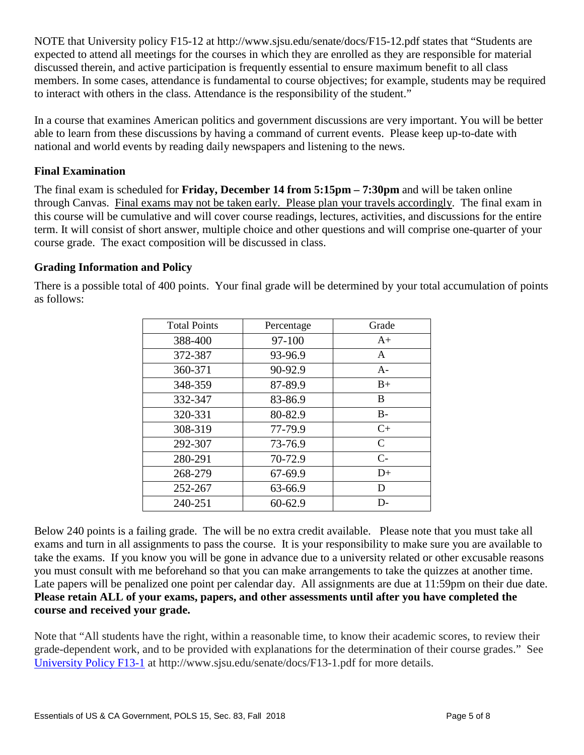NOTE that University policy F15-12 at http://www.sjsu.edu/senate/docs/F15-12.pdf states that "Students are expected to attend all meetings for the courses in which they are enrolled as they are responsible for material discussed therein, and active participation is frequently essential to ensure maximum benefit to all class members. In some cases, attendance is fundamental to course objectives; for example, students may be required to interact with others in the class. Attendance is the responsibility of the student."

In a course that examines American politics and government discussions are very important. You will be better able to learn from these discussions by having a command of current events. Please keep up-to-date with national and world events by reading daily newspapers and listening to the news.

# **Final Examination**

The final exam is scheduled for **Friday, December 14 from 5:15pm – 7:30pm** and will be taken online through Canvas. Final exams may not be taken early. Please plan your travels accordingly. The final exam in this course will be cumulative and will cover course readings, lectures, activities, and discussions for the entire term. It will consist of short answer, multiple choice and other questions and will comprise one-quarter of your course grade. The exact composition will be discussed in class.

# **Grading Information and Policy**

There is a possible total of 400 points. Your final grade will be determined by your total accumulation of points as follows:

| <b>Total Points</b> | Percentage | Grade        |
|---------------------|------------|--------------|
| 388-400             | 97-100     | $A+$         |
| 372-387             | 93-96.9    | A            |
| 360-371             | 90-92.9    | $A-$         |
| 348-359             | 87-89.9    | $B+$         |
| 332-347             | 83-86.9    | B            |
| 320-331             | 80-82.9    | $B -$        |
| 308-319             | 77-79.9    | $C+$         |
| 292-307             | 73-76.9    | $\mathsf{C}$ |
| 280-291             | 70-72.9    | $C-$         |
| 268-279             | 67-69.9    | $D+$         |
| 252-267             | 63-66.9    | D            |
| 240-251             | 60-62.9    | D-           |

Below 240 points is a failing grade. The will be no extra credit available. Please note that you must take all exams and turn in all assignments to pass the course. It is your responsibility to make sure you are available to take the exams. If you know you will be gone in advance due to a university related or other excusable reasons you must consult with me beforehand so that you can make arrangements to take the quizzes at another time. Late papers will be penalized one point per calendar day. All assignments are due at 11:59pm on their due date. **Please retain ALL of your exams, papers, and other assessments until after you have completed the course and received your grade.**

Note that "All students have the right, within a reasonable time, to know their academic scores, to review their grade-dependent work, and to be provided with explanations for the determination of their course grades." See [University Policy F13-1](http://www.sjsu.edu/senate/docs/F13-1.pdf) at http://www.sjsu.edu/senate/docs/F13-1.pdf for more details.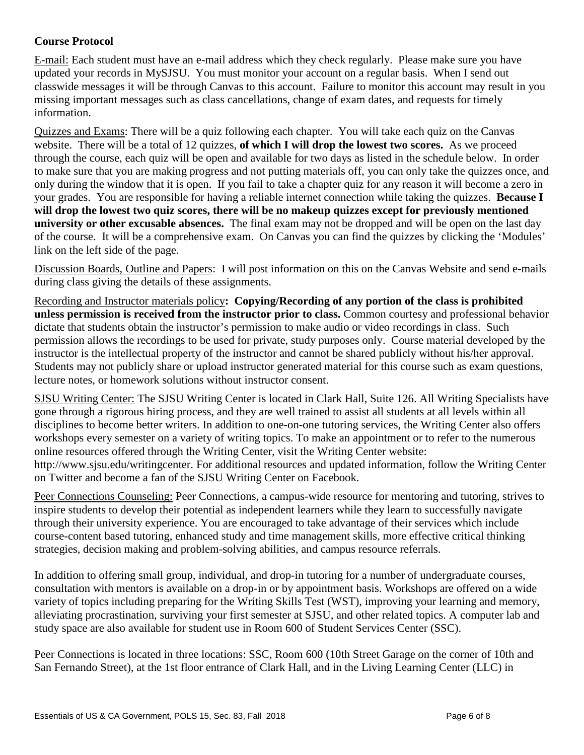# **Course Protocol**

E-mail: Each student must have an e-mail address which they check regularly. Please make sure you have updated your records in MySJSU. You must monitor your account on a regular basis. When I send out classwide messages it will be through Canvas to this account. Failure to monitor this account may result in you missing important messages such as class cancellations, change of exam dates, and requests for timely information.

Quizzes and Exams: There will be a quiz following each chapter. You will take each quiz on the Canvas website. There will be a total of 12 quizzes, **of which I will drop the lowest two scores.** As we proceed through the course, each quiz will be open and available for two days as listed in the schedule below. In order to make sure that you are making progress and not putting materials off, you can only take the quizzes once, and only during the window that it is open. If you fail to take a chapter quiz for any reason it will become a zero in your grades. You are responsible for having a reliable internet connection while taking the quizzes. **Because I will drop the lowest two quiz scores, there will be no makeup quizzes except for previously mentioned university or other excusable absences.** The final exam may not be dropped and will be open on the last day of the course. It will be a comprehensive exam. On Canvas you can find the quizzes by clicking the 'Modules' link on the left side of the page.

Discussion Boards, Outline and Papers: I will post information on this on the Canvas Website and send e-mails during class giving the details of these assignments.

Recording and Instructor materials policy**: Copying/Recording of any portion of the class is prohibited unless permission is received from the instructor prior to class.** Common courtesy and professional behavior dictate that students obtain the instructor's permission to make audio or video recordings in class. Such permission allows the recordings to be used for private, study purposes only. Course material developed by the instructor is the intellectual property of the instructor and cannot be shared publicly without his/her approval. Students may not publicly share or upload instructor generated material for this course such as exam questions, lecture notes, or homework solutions without instructor consent.

SJSU Writing Center: The SJSU Writing Center is located in Clark Hall, Suite 126. All Writing Specialists have gone through a rigorous hiring process, and they are well trained to assist all students at all levels within all disciplines to become better writers. In addition to one-on-one tutoring services, the Writing Center also offers workshops every semester on a variety of writing topics. To make an appointment or to refer to the numerous online resources offered through the Writing Center, visit the Writing Center website: http://www.sjsu.edu/writingcenter. For additional resources and updated information, follow the Writing Center on Twitter and become a fan of the SJSU Writing Center on Facebook.

Peer Connections Counseling: Peer Connections, a campus-wide resource for mentoring and tutoring, strives to inspire students to develop their potential as independent learners while they learn to successfully navigate through their university experience. You are encouraged to take advantage of their services which include course-content based tutoring, enhanced study and time management skills, more effective critical thinking strategies, decision making and problem-solving abilities, and campus resource referrals.

In addition to offering small group, individual, and drop-in tutoring for a number of undergraduate courses, consultation with mentors is available on a drop-in or by appointment basis. Workshops are offered on a wide variety of topics including preparing for the Writing Skills Test (WST), improving your learning and memory, alleviating procrastination, surviving your first semester at SJSU, and other related topics. A computer lab and study space are also available for student use in Room 600 of Student Services Center (SSC).

Peer Connections is located in three locations: SSC, Room 600 (10th Street Garage on the corner of 10th and San Fernando Street), at the 1st floor entrance of Clark Hall, and in the Living Learning Center (LLC) in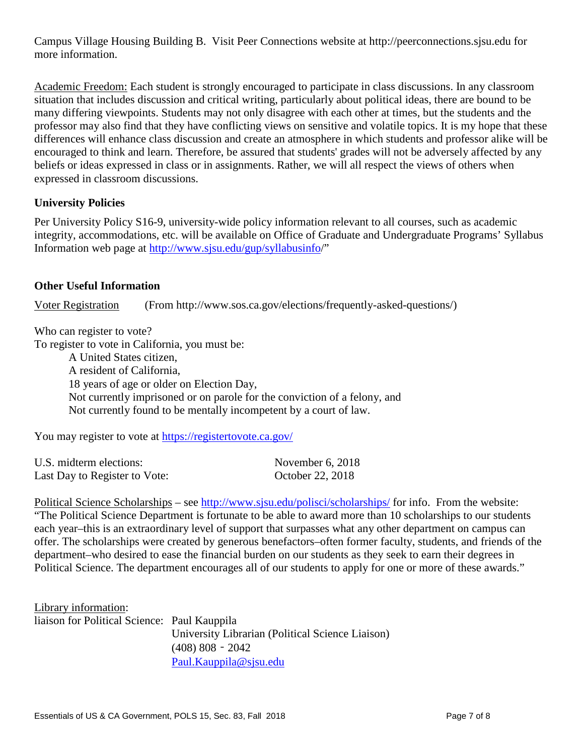Campus Village Housing Building B. Visit Peer Connections website at http://peerconnections.sjsu.edu for more information.

Academic Freedom: Each student is strongly encouraged to participate in class discussions. In any classroom situation that includes discussion and critical writing, particularly about political ideas, there are bound to be many differing viewpoints. Students may not only disagree with each other at times, but the students and the professor may also find that they have conflicting views on sensitive and volatile topics. It is my hope that these differences will enhance class discussion and create an atmosphere in which students and professor alike will be encouraged to think and learn. Therefore, be assured that students' grades will not be adversely affected by any beliefs or ideas expressed in class or in assignments. Rather, we will all respect the views of others when expressed in classroom discussions.

# **University Policies**

Per University Policy S16-9, university-wide policy information relevant to all courses, such as academic integrity, accommodations, etc. will be available on Office of Graduate and Undergraduate Programs' Syllabus Information web page at [http://www.sjsu.edu/gup/syllabusinfo/](http://www.sjsu.edu/gup/syllabusinfo)"

## **Other Useful Information**

Voter Registration (From http://www.sos.ca.gov/elections/frequently-asked-questions/)

Who can register to vote?

To register to vote in California, you must be:

A United States citizen, A resident of California, 18 years of age or older on Election Day, Not currently imprisoned or on parole for the conviction of a felony, and Not currently found to be mentally incompetent by a court of law.

You may register to vote at<https://registertovote.ca.gov/>

| U.S. midterm elections:       | November $6, 2018$ |
|-------------------------------|--------------------|
| Last Day to Register to Vote: | October 22, 2018   |

Political Science Scholarships – see<http://www.sjsu.edu/polisci/scholarships/> for info. From the website: "The Political Science Department is fortunate to be able to award more than 10 scholarships to our students each year–this is an extraordinary level of support that surpasses what any other department on campus can offer. The scholarships were created by generous benefactors–often former faculty, students, and friends of the department–who desired to ease the financial burden on our students as they seek to earn their degrees in Political Science. The department encourages all of our students to apply for one or more of these awards."

Library information: liaison for Political Science: Paul Kauppila University Librarian (Political Science Liaison) (408) 808‐2042 [Paul.Kauppila@sjsu.edu](mailto:Paul.Kauppila@sjsu.edu)